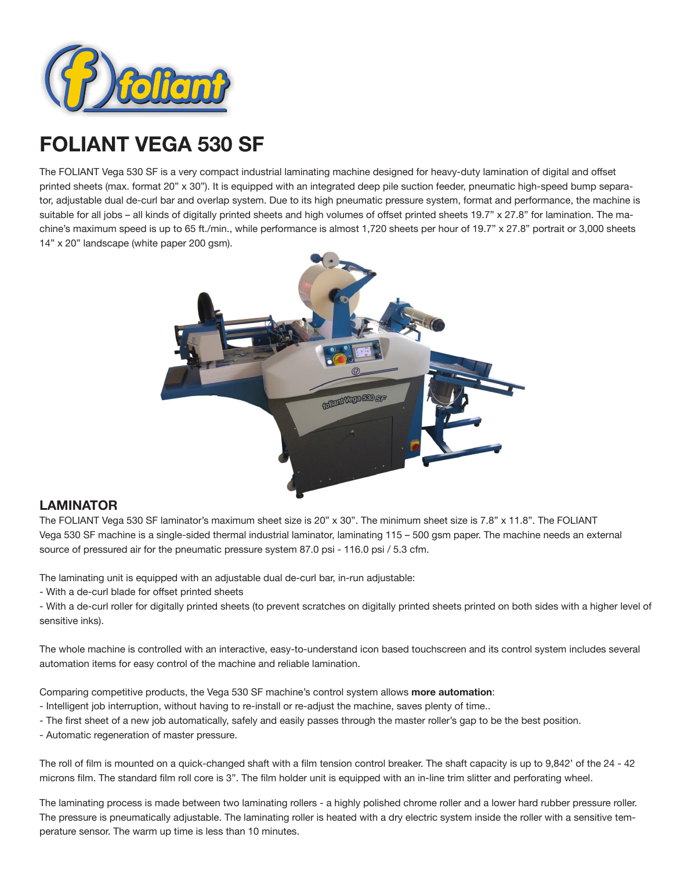

# **FOLIANT VEGA 530 SF**

printed sheets (max. format 20" x 30"). It is equipped with an integrated deep pile suction feeder, pneumatic high-speed bump separa-<br>tor, adjustable dual de-curl bar and overlap system. Due to its high pneumatic pressure suitable for all jobs – all kinds of digitally printed sheets and high volumes of offset printed sheets 19.7" x 27.8" for lamination. The machine's maximum speed is up to 65 ft./min., while performance is almost 1,720 sheets per hour of 19.7" x 27.8" portrait or 3,000 sheets 14" x 20" landscape (white paper 200 gsm). The FOLIANT Vega 530 SF is a very compact industrial laminating machine designed for heavy-duty lamination of digital and offset printed sheets (max. format 20" x 30"). It is equipped with an integrated deep pile suction feeder, pneumatic high-speed bump separa-



## **LAMINATOR**

Vega 530 SF machine is a single-sided thermal industrial laminator, laminating 115 – 500 gsm paper. The machine needs an external source of pressured air for the pneumatic pressure system 87.0 psi - 116.0 psi / 5.3 cfm. The FOLIANT Vega 530 SF laminator's maximum sheet size is 20" x 30". The minimum sheet size is 7.8" x 11.8". The FOLIANT

The laminating unit is equipped with an adjustable dual de-curl bar, in-run adjustable:

- With a de-curl blade for offset printed sheets

- With a de-curl roller for digitally printed sheets (to prevent scratches on digitally printed sheets printed on both sides with a higher level of sensitive inks).

The whole machine is controlled with an interactive, easy-to-understand icon based touchscreen and its control system includes several automation items for easy control of the machine and reliable lamination.

Comparing competitive products, the Vega 530 SF machine's control system allows **more automation**:

- Intelligent job interruption, without having to re-install or re-adjust the machine, saves plenty of time..
- The first sheet of a new job automatically, safely and easily passes through the master roller's gap to be the best position.
- Automatic regeneration of master pressure.

The roll of film is mounted on a quick-changed shaft with a film tension control breaker. The shaft capacity is up to 9,842' of the 24 - 42 microns film. The standard film roll core is 3". The film holder unit is equipped with an in-line trim slitter and perforating wheel.

The laminating process is made between two laminating rollers - a highly polished chrome roller and a lower hard rubber pressure roller. The pressure is pneumatically adjustable. The laminating roller is heated with a dry electric system inside the roller with a sensitive temperature sensor. The warm up time is less than 10 minutes.